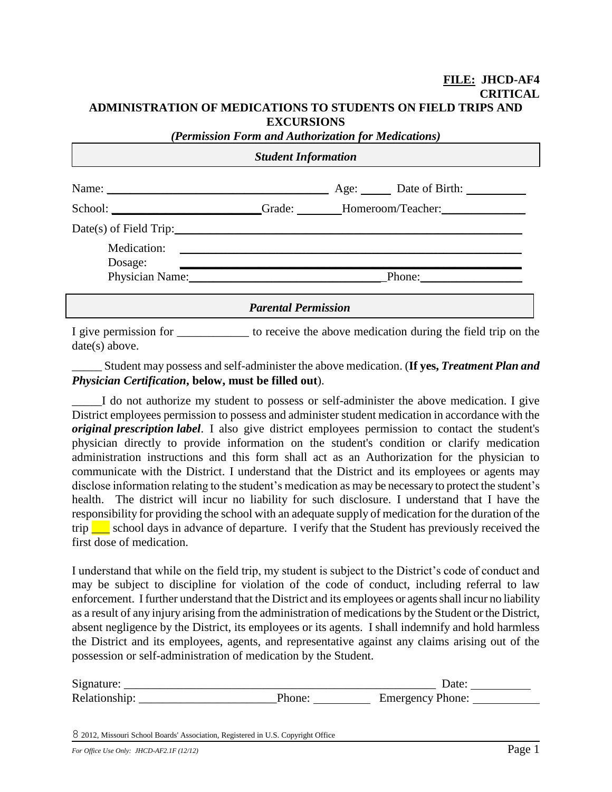#### **FILE: JHCD-AF4 CRITICAL ADMINISTRATION OF MEDICATIONS TO STUDENTS ON FIELD TRIPS AND EXCURSIONS**

| (Permission Form and Authorization for Medications) |                            |  |                                                              |  |  |  |  |  |  |  |
|-----------------------------------------------------|----------------------------|--|--------------------------------------------------------------|--|--|--|--|--|--|--|
| <b>Student Information</b>                          |                            |  |                                                              |  |  |  |  |  |  |  |
|                                                     |                            |  | Name: <u>Name:</u> Age: Date of Birth:                       |  |  |  |  |  |  |  |
|                                                     |                            |  | School: Grade: Momeroom/Teacher: Momeroom/Teacher:           |  |  |  |  |  |  |  |
|                                                     |                            |  |                                                              |  |  |  |  |  |  |  |
|                                                     |                            |  |                                                              |  |  |  |  |  |  |  |
| Dosage:                                             |                            |  |                                                              |  |  |  |  |  |  |  |
| Physician Name: 1988                                |                            |  |                                                              |  |  |  |  |  |  |  |
|                                                     | <b>Parental Permission</b> |  |                                                              |  |  |  |  |  |  |  |
| I give permission for                               |                            |  | to receive the above medication during the field trip on the |  |  |  |  |  |  |  |

date(s) above. \_\_\_\_\_ Student may possess and self-administer the above medication. (**If yes,** *Treatment Plan and* 

### *Physician Certification***, below, must be filled out**).

I do not authorize my student to possess or self-administer the above medication. I give District employees permission to possess and administer student medication in accordance with the *original prescription label*.I also give district employees permission to contact the student's physician directly to provide information on the student's condition or clarify medication administration instructions and this form shall act as an Authorization for the physician to communicate with the District. I understand that the District and its employees or agents may disclose information relating to the student's medication as may be necessary to protect the student's health. The district will incur no liability for such disclosure. I understand that I have the responsibility for providing the school with an adequate supply of medication for the duration of the trip  $\Box$  school days in advance of departure. I verify that the Student has previously received the first dose of medication.

I understand that while on the field trip, my student is subject to the District's code of conduct and may be subject to discipline for violation of the code of conduct, including referral to law enforcement. I further understand that the District and its employees or agents shall incur no liability as a result of any injury arising from the administration of medications by the Student or the District, absent negligence by the District, its employees or its agents. I shall indemnify and hold harmless the District and its employees, agents, and representative against any claims arising out of the possession or self-administration of medication by the Student.

| Signature:    | $\bm{\mathcal{U}}$ ate |  |
|---------------|------------------------|--|
| Relationship: | Emergency Phone:       |  |

8 2012, Missouri School Boards' Association, Registered in U.S. Copyright Office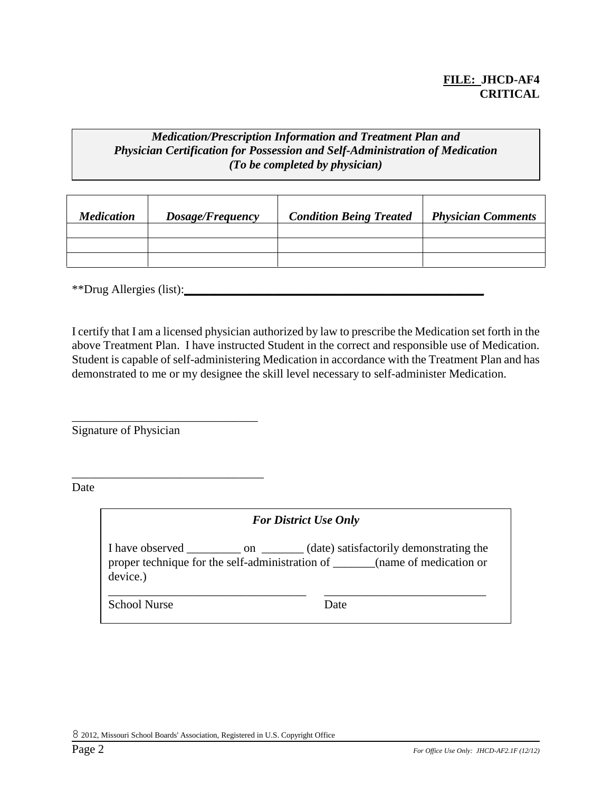## **FILE: JHCD-AF4 CRITICAL**

## *Medication/Prescription Information and Treatment Plan and Physician Certification for Possession and Self-Administration of Medication (To be completed by physician)*

| <b>Medication</b> | Dosage/Frequency | <b>Condition Being Treated</b> | <b>Physician Comments</b> |
|-------------------|------------------|--------------------------------|---------------------------|
|                   |                  |                                |                           |
|                   |                  |                                |                           |
|                   |                  |                                |                           |

\*\*Drug Allergies (list):**\_\_\_\_\_\_\_\_\_\_\_\_\_\_\_\_\_\_\_\_\_\_\_\_\_\_\_\_\_\_\_\_\_\_\_\_\_\_\_\_\_\_\_\_\_\_\_\_\_\_**

I certify that I am a licensed physician authorized by law to prescribe the Medication set forth in the above Treatment Plan. I have instructed Student in the correct and responsible use of Medication. Student is capable of self-administering Medication in accordance with the Treatment Plan and has demonstrated to me or my designee the skill level necessary to self-administer Medication.

Signature of Physician

\_\_\_\_\_\_\_\_\_\_\_\_\_\_\_\_\_\_\_\_\_\_\_\_\_\_\_\_\_\_\_

\_\_\_\_\_\_\_\_\_\_\_\_\_\_\_\_\_\_\_\_\_\_\_\_\_\_\_\_\_\_\_\_

Date

*For District Use Only*

I have observed \_\_\_\_\_\_\_\_\_ on \_\_\_\_\_\_\_ (date) satisfactorily demonstrating the proper technique for the self-administration of \_\_\_\_\_\_\_(name of medication or device.)

\_\_\_\_\_\_\_\_\_\_\_\_\_\_\_\_\_\_\_\_\_\_\_\_\_\_\_\_\_\_\_\_\_ \_\_\_\_\_\_\_\_\_\_\_\_\_\_\_\_\_\_\_\_\_\_\_\_\_\_\_

School Nurse Date

8 2012, Missouri School Boards' Association, Registered in U.S. Copyright Office